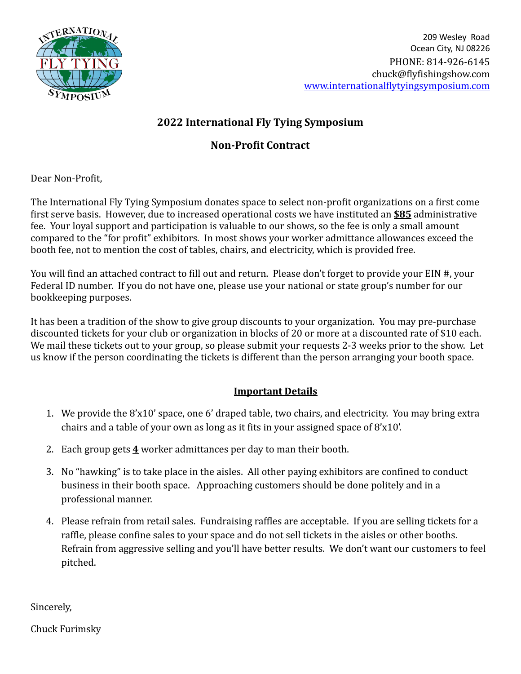

 209 Wesley Road Ocean City, NJ 08226 PHONE: 814-926-6145 chuck@flyfishingshow.com [www.internationalflytyingsymposium.com](http://www.internationalflytyingsymposium.com)

## **2022 International Fly Tying Symposium**

# **Non-Profit Contract**

Dear Non-Profit.

The International Fly Tying Symposium donates space to select non-profit organizations on a first come first serve basis. However, due to increased operational costs we have instituted an **\$85** administrative fee. Your loyal support and participation is valuable to our shows, so the fee is only a small amount compared to the "for profit" exhibitors. In most shows your worker admittance allowances exceed the booth fee, not to mention the cost of tables, chairs, and electricity, which is provided free.

You will find an attached contract to fill out and return. Please don't forget to provide your EIN #, your Federal ID number. If you do not have one, please use your national or state group's number for our bookkeeping purposes.

It has been a tradition of the show to give group discounts to your organization. You may pre-purchase discounted tickets for your club or organization in blocks of 20 or more at a discounted rate of \$10 each. We mail these tickets out to your group, so please submit your requests 2-3 weeks prior to the show. Let us know if the person coordinating the tickets is different than the person arranging your booth space.

### **Important Details**

- 1. We provide the  $8'x10'$  space, one 6' draped table, two chairs, and electricity. You may bring extra chairs and a table of your own as long as it fits in your assigned space of  $8'x10'$ .
- 2. Each group gets  $\frac{4}{1}$  worker admittances per day to man their booth.
- 3. No "hawking" is to take place in the aisles. All other paying exhibitors are confined to conduct business in their booth space. Approaching customers should be done politely and in a professional manner.
- 4. Please refrain from retail sales. Fundraising raffles are acceptable. If you are selling tickets for a raffle, please confine sales to your space and do not sell tickets in the aisles or other booths. Refrain from aggressive selling and you'll have better results. We don't want our customers to feel pitched.

Sincerely, 

Chuck Furimsky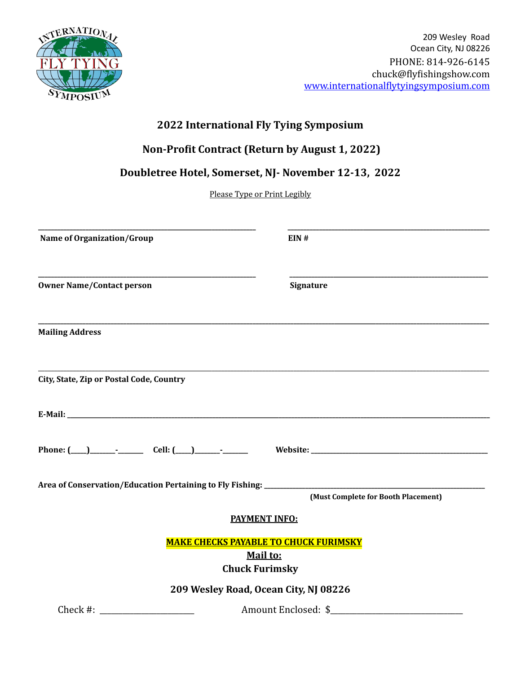

#### 2022 International Fly Tying Symposium

### Non-Profit Contract (Return by August 1, 2022)

#### Doubletree Hotel, Somerset, NJ- November 12-13, 2022

Please Type or Print Legibly

| Name of Organization/Group               | EIN#                                                                              |
|------------------------------------------|-----------------------------------------------------------------------------------|
| <b>Owner Name/Contact person</b>         | <b>Signature</b>                                                                  |
| <b>Mailing Address</b>                   |                                                                                   |
| City, State, Zip or Postal Code, Country |                                                                                   |
|                                          |                                                                                   |
|                                          |                                                                                   |
|                                          | (Must Complete for Booth Placement)                                               |
|                                          | <b>PAYMENT INFO:</b>                                                              |
|                                          | <b>MAKE CHECKS PAYABLE TO CHUCK FURIMSKY</b><br>Mail to:<br><b>Chuck Furimsky</b> |
|                                          | 209 Wesley Road, Ocean City, NJ 08226                                             |
| $Check #: ____________$                  | Amount Enclosed: \$                                                               |